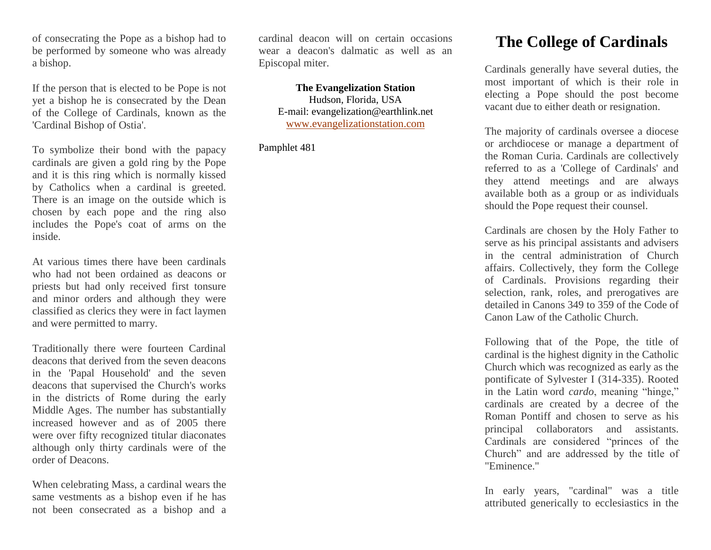of consecrating the Pope as a bishop had to be performed by someone who was already a bishop.

If the person that is elected to be Pope is not yet a bishop he is consecrated by the Dean of the College of Cardinals, known as the 'Cardinal Bishop of Ostia'.

To symbolize their bond with the papacy cardinals are given a gold ring by the Pope and it is this ring which is normally kissed by Catholics when a cardinal is greeted. There is an image on the outside which is chosen by each pope and the ring also includes the Pope's coat of arms on the inside.

At various times there have been cardinals who had not been ordained as deacons or priests but had only received first tonsure and minor orders and although they were classified as clerics they were in fact laymen and were permitted to marry.

Traditionally there were fourteen Cardinal deacons that derived from the seven deacons in the 'Papal Household' and the seven deacons that supervised the Church's works in the districts of Rome during the early Middle Ages. The number has substantially increased however and as of 2005 there were over fifty recognized titular diaconates although only thirty cardinals were of the order of Deacons.

When celebrating Mass, a cardinal wears the same vestments as a bishop even if he has not been consecrated as a bishop and a

cardinal deacon will on certain occasions wear a deacon's dalmatic as well as an Episcopal miter.

**The Evangelization Station** Hudson, Florida, USA E-mail: evangelization@earthlink.net [www.evangelizationstation.com](http://www.pjpiisoe.org/)

Pamphlet 481

## **The College of Cardinals**

Cardinals generally have several duties, the most important of which is their role in electing a Pope should the post become vacant due to either death or resignation.

The majority of cardinals oversee a diocese or archdiocese or manage a department of the Roman Curia. Cardinals are collectively referred to as a 'College of Cardinals' and they attend meetings and are always available both as a group or as individuals should the Pope request their counsel.

Cardinals are chosen by the Holy Father to serve as his principal assistants and advisers in the central administration of Church affairs. Collectively, they form the College of Cardinals. Provisions regarding their selection, rank, roles, and prerogatives are detailed in Canons 349 to 359 of the Code of Canon Law of the Catholic Church.

Following that of the Pope, the title of cardinal is the highest dignity in the Catholic Church which was recognized as early as the pontificate of Sylvester I (314-335). Rooted in the Latin word *cardo*, meaning "hinge," cardinals are created by a decree of the Roman Pontiff and chosen to serve as his principal collaborators and assistants. Cardinals are considered "princes of the Church" and are addressed by the title of "Eminence."

In early years, "cardinal" was a title attributed generically to ecclesiastics in the